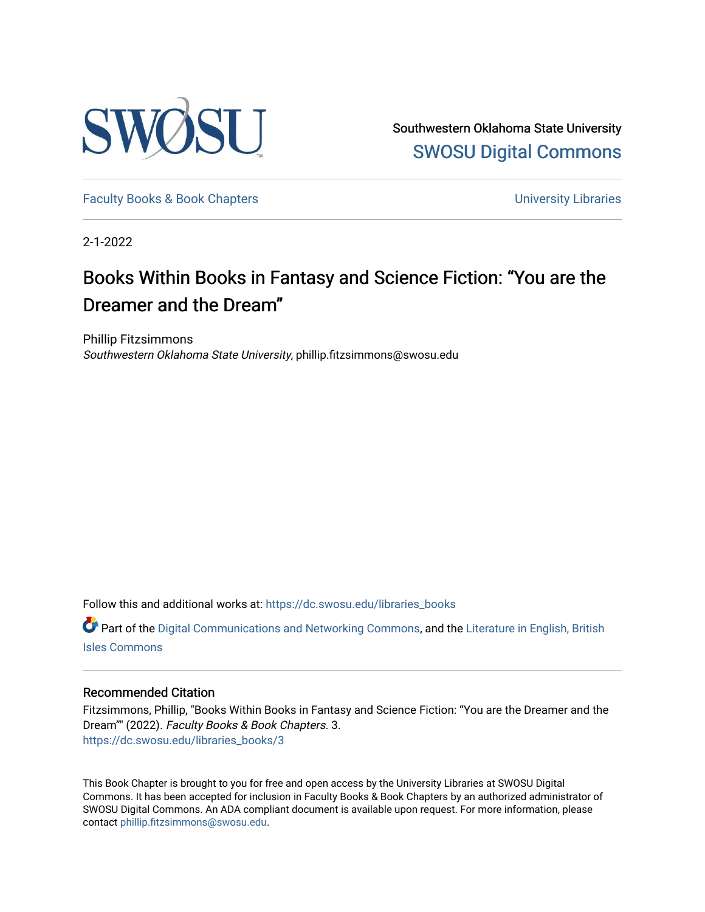

Southwestern Oklahoma State University [SWOSU Digital Commons](https://dc.swosu.edu/) 

[Faculty Books & Book Chapters](https://dc.swosu.edu/libraries_books) **Example 20** and the University Libraries

2-1-2022

# Books Within Books in Fantasy and Science Fiction: "You are the Dreamer and the Dream"

Phillip Fitzsimmons Southwestern Oklahoma State University, phillip.fitzsimmons@swosu.edu

Follow this and additional works at: [https://dc.swosu.edu/libraries\\_books](https://dc.swosu.edu/libraries_books?utm_source=dc.swosu.edu%2Flibraries_books%2F3&utm_medium=PDF&utm_campaign=PDFCoverPages)

Part of the [Digital Communications and Networking Commons,](http://network.bepress.com/hgg/discipline/262?utm_source=dc.swosu.edu%2Flibraries_books%2F3&utm_medium=PDF&utm_campaign=PDFCoverPages) and the [Literature in English, British](http://network.bepress.com/hgg/discipline/456?utm_source=dc.swosu.edu%2Flibraries_books%2F3&utm_medium=PDF&utm_campaign=PDFCoverPages) [Isles Commons](http://network.bepress.com/hgg/discipline/456?utm_source=dc.swosu.edu%2Flibraries_books%2F3&utm_medium=PDF&utm_campaign=PDFCoverPages)

#### Recommended Citation

Fitzsimmons, Phillip, "Books Within Books in Fantasy and Science Fiction: "You are the Dreamer and the Dream"" (2022). Faculty Books & Book Chapters. 3. [https://dc.swosu.edu/libraries\\_books/3](https://dc.swosu.edu/libraries_books/3?utm_source=dc.swosu.edu%2Flibraries_books%2F3&utm_medium=PDF&utm_campaign=PDFCoverPages) 

This Book Chapter is brought to you for free and open access by the University Libraries at SWOSU Digital Commons. It has been accepted for inclusion in Faculty Books & Book Chapters by an authorized administrator of SWOSU Digital Commons. An ADA compliant document is available upon request. For more information, please contact [phillip.fitzsimmons@swosu.edu.](mailto:phillip.fitzsimmons@swosu.edu)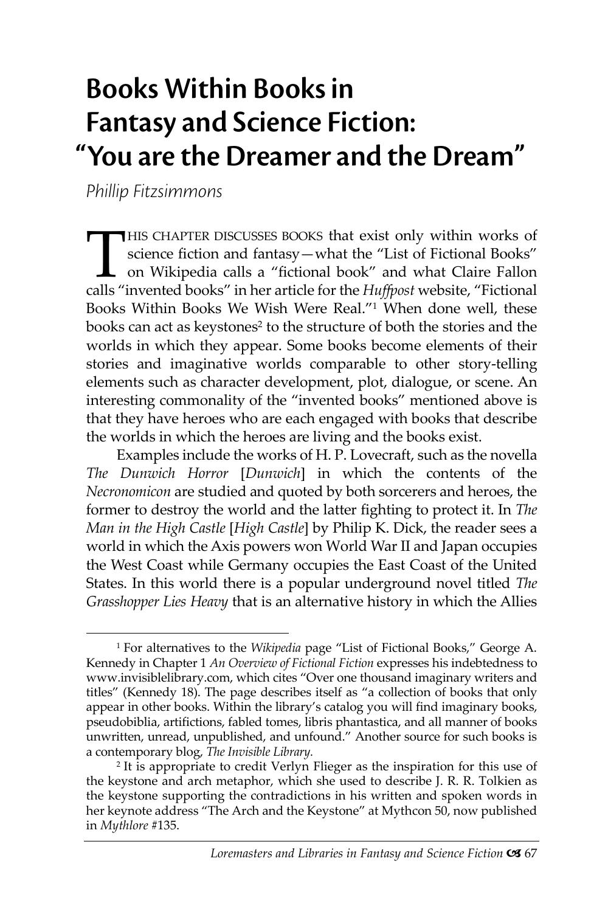# **Books Within Books in Fantasy and Science Fiction: "You are the Dreamer and the Dream"**

*Phillip Fitzsimmons*

HIS CHAPTER DISCUSSES BOOKS that exist only within works of science fiction and fantasy—what the "List of Fictional Books" THIS CHAPTER DISCUSSES BOOKS that exist only within works of science fiction and fantasy—what the "List of Fictional Books" on Wikipedia calls a "fictional book" and what Claire Fallon calls "invanted books" in her article calls "invented books" in her article for the *Huffpost* website, "Fictional Books Within Books We Wish Were Real."1 When done well, these books can act as keystones<sup>2</sup> to the structure of both the stories and the worlds in which they appear. Some books become elements of their stories and imaginative worlds comparable to other story-telling elements such as character development, plot, dialogue, or scene. An interesting commonality of the "invented books" mentioned above is that they have heroes who are each engaged with books that describe the worlds in which the heroes are living and the books exist.

Examples include the works of H. P. Lovecraft, such as the novella *The Dunwich Horror* [*Dunwich*] in which the contents of the *Necronomicon* are studied and quoted by both sorcerers and heroes, the former to destroy the world and the latter fighting to protect it. In *The Man in the High Castle* [*High Castle*] by Philip K. Dick, the reader sees a world in which the Axis powers won World War II and Japan occupies the West Coast while Germany occupies the East Coast of the United States. In this world there is a popular underground novel titled *The Grasshopper Lies Heavy* that is an alternative history in which the Allies

<sup>1</sup> For alternatives to the *Wikipedia* page "List of Fictional Books," George A. Kennedy in Chapter 1 *An Overview of Fictional Fiction* expresses his indebtedness to www.invisiblelibrary.com, which cites "Over one thousand imaginary writers and titles" (Kennedy 18). The page describes itself as "a collection of books that only appear in other books. Within the library's catalog you will find imaginary books, pseudobiblia, artifictions, fabled tomes, libris phantastica, and all manner of books unwritten, unread, unpublished, and unfound." Another source for such books is a contemporary blog, *The Invisible Library.*

<sup>&</sup>lt;sup>2</sup> It is appropriate to credit Verlyn Flieger as the inspiration for this use of the keystone and arch metaphor, which she used to describe J. R. R. Tolkien as the keystone supporting the contradictions in his written and spoken words in her keynote address "The Arch and the Keystone" at Mythcon 50, now published in *Mythlore* #135.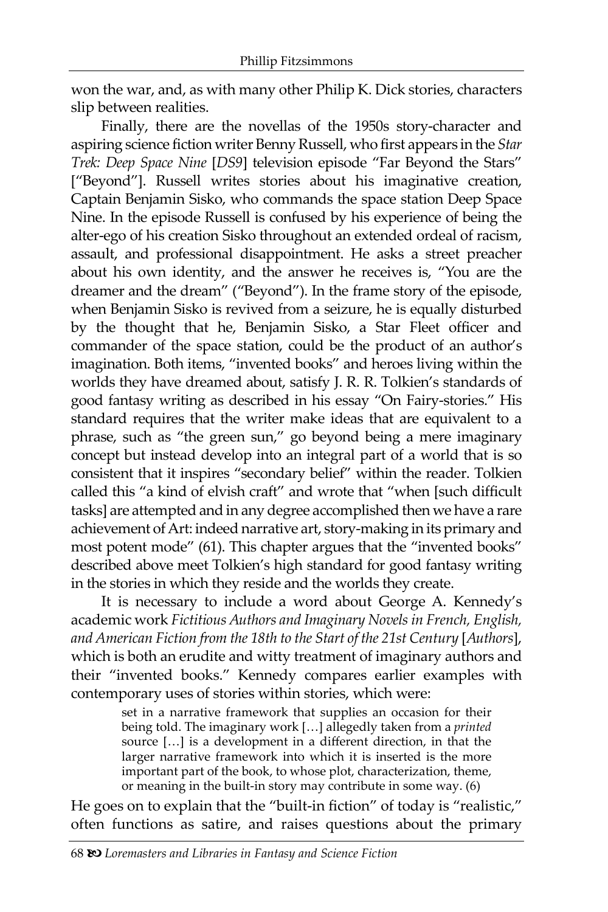won the war, and, as with many other Philip K. Dick stories, characters slip between realities.

Finally, there are the novellas of the 1950s story-character and aspiring science fiction writer Benny Russell, who first appears in the *Star Trek: Deep Space Nine* [*DS9*] television episode "Far Beyond the Stars" ["Beyond"]. Russell writes stories about his imaginative creation, Captain Benjamin Sisko, who commands the space station Deep Space Nine. In the episode Russell is confused by his experience of being the alter-ego of his creation Sisko throughout an extended ordeal of racism, assault, and professional disappointment. He asks a street preacher about his own identity, and the answer he receives is, "You are the dreamer and the dream" ("Beyond"). In the frame story of the episode, when Benjamin Sisko is revived from a seizure, he is equally disturbed by the thought that he, Benjamin Sisko, a Star Fleet officer and commander of the space station, could be the product of an author's imagination. Both items, "invented books" and heroes living within the worlds they have dreamed about, satisfy J. R. R. Tolkien's standards of good fantasy writing as described in his essay "On Fairy-stories." His standard requires that the writer make ideas that are equivalent to a phrase, such as "the green sun," go beyond being a mere imaginary concept but instead develop into an integral part of a world that is so consistent that it inspires "secondary belief" within the reader. Tolkien called this "a kind of elvish craft" and wrote that "when [such difficult tasks] are attempted and in any degree accomplished then we have a rare achievement of Art: indeed narrative art, story-making in its primary and most potent mode" (61). This chapter argues that the "invented books" described above meet Tolkien's high standard for good fantasy writing in the stories in which they reside and the worlds they create.

It is necessary to include a word about George A. Kennedy's academic work *Fictitious Authors and Imaginary Novels in French, English, and American Fiction from the 18th to the Start of the 21st Century* [*Authors*], which is both an erudite and witty treatment of imaginary authors and their "invented books." Kennedy compares earlier examples with contemporary uses of stories within stories, which were:

> set in a narrative framework that supplies an occasion for their being told. The imaginary work […] allegedly taken from a *printed* source […] is a development in a different direction, in that the larger narrative framework into which it is inserted is the more important part of the book, to whose plot, characterization, theme, or meaning in the built-in story may contribute in some way. (6)

He goes on to explain that the "built-in fiction" of today is "realistic," often functions as satire, and raises questions about the primary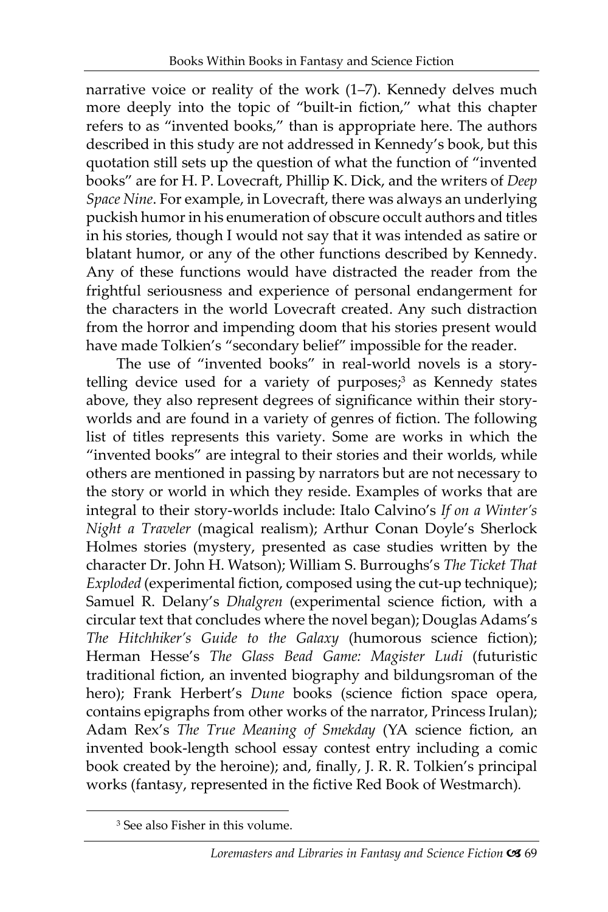narrative voice or reality of the work (1–7). Kennedy delves much more deeply into the topic of "built-in fiction," what this chapter refers to as "invented books," than is appropriate here. The authors described in this study are not addressed in Kennedy's book, but this quotation still sets up the question of what the function of "invented books" are for H. P. Lovecraft, Phillip K. Dick, and the writers of *Deep Space Nine*. For example, in Lovecraft, there was always an underlying puckish humor in his enumeration of obscure occult authors and titles in his stories, though I would not say that it was intended as satire or blatant humor, or any of the other functions described by Kennedy. Any of these functions would have distracted the reader from the frightful seriousness and experience of personal endangerment for the characters in the world Lovecraft created. Any such distraction from the horror and impending doom that his stories present would have made Tolkien's "secondary belief" impossible for the reader.

The use of "invented books" in real-world novels is a storytelling device used for a variety of purposes; $3$  as Kennedy states above, they also represent degrees of significance within their storyworlds and are found in a variety of genres of fiction. The following list of titles represents this variety. Some are works in which the "invented books" are integral to their stories and their worlds, while others are mentioned in passing by narrators but are not necessary to the story or world in which they reside. Examples of works that are integral to their story-worlds include: Italo Calvino's *If on a Winter's Night a Traveler* (magical realism); Arthur Conan Doyle's Sherlock Holmes stories (mystery, presented as case studies written by the character Dr. John H. Watson); William S. Burroughs's *The Ticket That Exploded* (experimental fiction, composed using the cut-up technique); Samuel R. Delany's *Dhalgren* (experimental science fiction, with a circular text that concludes where the novel began); Douglas Adams's *The Hitchhiker's Guide to the Galaxy* (humorous science fiction); Herman Hesse's *The Glass Bead Game: Magister Ludi* (futuristic traditional fiction, an invented biography and bildungsroman of the hero); Frank Herbert's *Dune* books (science fiction space opera, contains epigraphs from other works of the narrator, Princess Irulan); Adam Rex's *The True Meaning of Smekday* (YA science fiction, an invented book-length school essay contest entry including a comic book created by the heroine); and, finally, J. R. R. Tolkien's principal works (fantasy, represented in the fictive Red Book of Westmarch)*.*

<sup>3</sup> See also Fisher in this volume.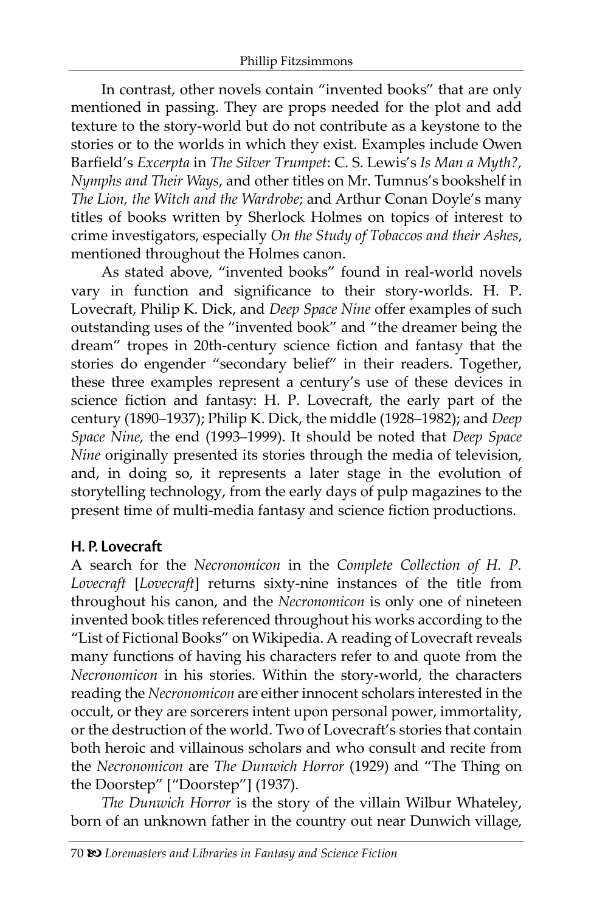In contrast, other novels contain "invented books" that are only mentioned in passing. They are props needed for the plot and add texture to the story-world but do not contribute as a keystone to the stories or to the worlds in which they exist. Examples include Owen Barfield's *Excerpta* in *The Silver Trumpet*: C. S. Lewis's *Is Man a Myth?, Nymphs and Their Ways*, and other titles on Mr. Tumnus's bookshelf in *The Lion, the Witch and the Wardrobe*; and Arthur Conan Doyle's many titles of books written by Sherlock Holmes on topics of interest to crime investigators, especially *On the Study of Tobaccos and their Ashes*, mentioned throughout the Holmes canon.

As stated above, "invented books" found in real-world novels vary in function and significance to their story-worlds. H. P. Lovecraft, Philip K. Dick, and *Deep Space Nine* offer examples of such outstanding uses of the "invented book" and "the dreamer being the dream" tropes in 20th-century science fiction and fantasy that the stories do engender "secondary belief" in their readers. Together, these three examples represent a century's use of these devices in science fiction and fantasy: H. P. Lovecraft, the early part of the century (1890–1937); Philip K. Dick, the middle (1928–1982); and *Deep Space Nine,* the end (1993–1999). It should be noted that *Deep Space Nine* originally presented its stories through the media of television, and, in doing so, it represents a later stage in the evolution of storytelling technology, from the early days of pulp magazines to the present time of multi-media fantasy and science fiction productions.

### **H. P. Lovecraft**

A search for the *Necronomicon* in the *Complete Collection of H. P. Lovecraft* [*Lovecraft*] returns sixty-nine instances of the title from throughout his canon, and the *Necronomicon* is only one of nineteen invented book titles referenced throughout his works according to the "List of Fictional Books" on Wikipedia. A reading of Lovecraft reveals many functions of having his characters refer to and quote from the *Necronomicon* in his stories. Within the story-world, the characters reading the *Necronomicon* are either innocent scholars interested in the occult, or they are sorcerers intent upon personal power, immortality, or the destruction of the world. Two of Lovecraft's stories that contain both heroic and villainous scholars and who consult and recite from the *Necronomicon* are *The Dunwich Horror* (1929) and "The Thing on the Doorstep" ["Doorstep"] (1937).

*The Dunwich Horror* is the story of the villain Wilbur Whateley, born of an unknown father in the country out near Dunwich village,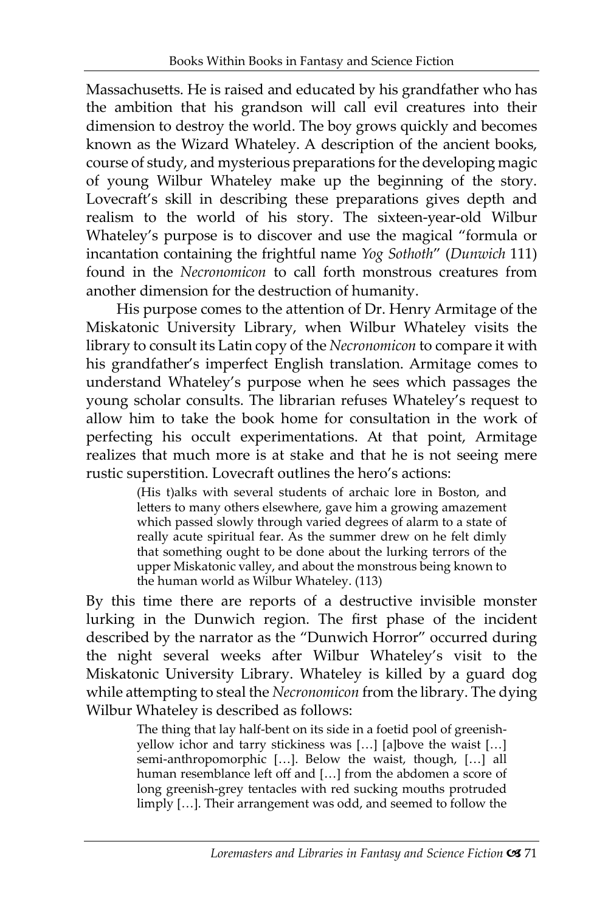Massachusetts. He is raised and educated by his grandfather who has the ambition that his grandson will call evil creatures into their dimension to destroy the world. The boy grows quickly and becomes known as the Wizard Whateley. A description of the ancient books, course of study, and mysterious preparations for the developing magic of young Wilbur Whateley make up the beginning of the story. Lovecraft's skill in describing these preparations gives depth and realism to the world of his story. The sixteen-year-old Wilbur Whateley's purpose is to discover and use the magical "formula or incantation containing the frightful name *Yog Sothoth*" (*Dunwich* 111) found in the *Necronomicon* to call forth monstrous creatures from another dimension for the destruction of humanity.

His purpose comes to the attention of Dr. Henry Armitage of the Miskatonic University Library, when Wilbur Whateley visits the library to consult its Latin copy of the *Necronomicon* to compare it with his grandfather's imperfect English translation. Armitage comes to understand Whateley's purpose when he sees which passages the young scholar consults. The librarian refuses Whateley's request to allow him to take the book home for consultation in the work of perfecting his occult experimentations. At that point, Armitage realizes that much more is at stake and that he is not seeing mere rustic superstition. Lovecraft outlines the hero's actions:

> (His t)alks with several students of archaic lore in Boston, and letters to many others elsewhere, gave him a growing amazement which passed slowly through varied degrees of alarm to a state of really acute spiritual fear. As the summer drew on he felt dimly that something ought to be done about the lurking terrors of the upper Miskatonic valley, and about the monstrous being known to the human world as Wilbur Whateley. (113)

By this time there are reports of a destructive invisible monster lurking in the Dunwich region. The first phase of the incident described by the narrator as the "Dunwich Horror" occurred during the night several weeks after Wilbur Whateley's visit to the Miskatonic University Library. Whateley is killed by a guard dog while attempting to steal the *Necronomicon* from the library. The dying Wilbur Whateley is described as follows:

The thing that lay half-bent on its side in a foetid pool of greenishyellow ichor and tarry stickiness was […] [a]bove the waist […] semi-anthropomorphic […]. Below the waist, though, […] all human resemblance left off and […] from the abdomen a score of long greenish-grey tentacles with red sucking mouths protruded limply […]. Their arrangement was odd, and seemed to follow the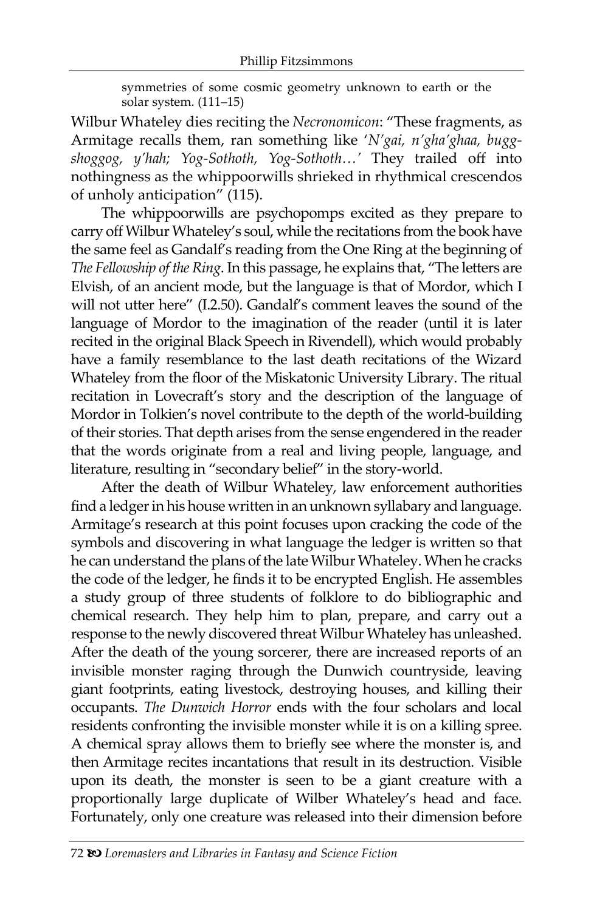symmetries of some cosmic geometry unknown to earth or the solar system. (111–15)

Wilbur Whateley dies reciting the *Necronomicon*: "These fragments, as Armitage recalls them, ran something like '*N'gai, n'gha'ghaa, buggshoggog, y'hah; Yog-Sothoth, Yog-Sothoth…'* They trailed off into nothingness as the whippoorwills shrieked in rhythmical crescendos of unholy anticipation" (115).

The whippoorwills are psychopomps excited as they prepare to carry off Wilbur Whateley's soul, while the recitations from the book have the same feel as Gandalf's reading from the One Ring at the beginning of *The Fellowship of the Ring*. In this passage, he explains that, "The letters are Elvish, of an ancient mode, but the language is that of Mordor, which I will not utter here" (I.2.50). Gandalf's comment leaves the sound of the language of Mordor to the imagination of the reader (until it is later recited in the original Black Speech in Rivendell), which would probably have a family resemblance to the last death recitations of the Wizard Whateley from the floor of the Miskatonic University Library. The ritual recitation in Lovecraft's story and the description of the language of Mordor in Tolkien's novel contribute to the depth of the world-building of their stories. That depth arises from the sense engendered in the reader that the words originate from a real and living people, language, and literature, resulting in "secondary belief" in the story-world.

After the death of Wilbur Whateley, law enforcement authorities find a ledger in his house written in an unknown syllabary and language. Armitage's research at this point focuses upon cracking the code of the symbols and discovering in what language the ledger is written so that he can understand the plans of the late Wilbur Whateley. When he cracks the code of the ledger, he finds it to be encrypted English. He assembles a study group of three students of folklore to do bibliographic and chemical research. They help him to plan, prepare, and carry out a response to the newly discovered threat Wilbur Whateley has unleashed. After the death of the young sorcerer, there are increased reports of an invisible monster raging through the Dunwich countryside, leaving giant footprints, eating livestock, destroying houses, and killing their occupants. *The Dunwich Horror* ends with the four scholars and local residents confronting the invisible monster while it is on a killing spree. A chemical spray allows them to briefly see where the monster is, and then Armitage recites incantations that result in its destruction. Visible upon its death, the monster is seen to be a giant creature with a proportionally large duplicate of Wilber Whateley's head and face. Fortunately, only one creature was released into their dimension before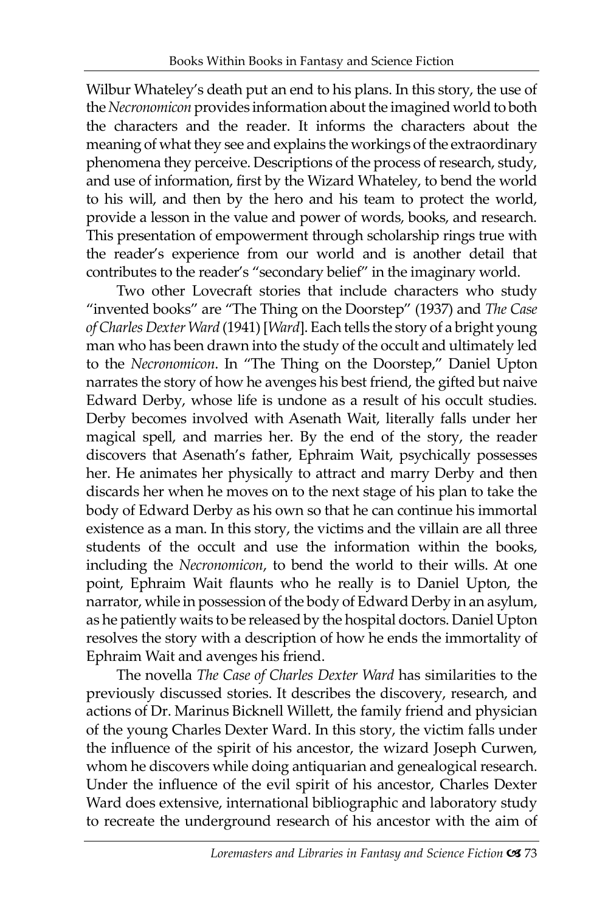Wilbur Whateley's death put an end to his plans. In this story, the use of the *Necronomicon*provides information about the imagined world to both the characters and the reader. It informs the characters about the meaning of what they see and explains the workings of the extraordinary phenomena they perceive. Descriptions of the process of research, study, and use of information, first by the Wizard Whateley, to bend the world to his will, and then by the hero and his team to protect the world, provide a lesson in the value and power of words, books, and research. This presentation of empowerment through scholarship rings true with the reader's experience from our world and is another detail that contributes to the reader's "secondary belief" in the imaginary world.

Two other Lovecraft stories that include characters who study "invented books" are "The Thing on the Doorstep" (1937) and *The Case of Charles Dexter Ward* (1941) [*Ward*]. Each tells the story of a bright young man who has been drawn into the study of the occult and ultimately led to the *Necronomicon*. In "The Thing on the Doorstep," Daniel Upton narrates the story of how he avenges his best friend, the gifted but naive Edward Derby, whose life is undone as a result of his occult studies. Derby becomes involved with Asenath Wait, literally falls under her magical spell, and marries her. By the end of the story, the reader discovers that Asenath's father, Ephraim Wait, psychically possesses her. He animates her physically to attract and marry Derby and then discards her when he moves on to the next stage of his plan to take the body of Edward Derby as his own so that he can continue his immortal existence as a man. In this story, the victims and the villain are all three students of the occult and use the information within the books, including the *Necronomicon*, to bend the world to their wills. At one point, Ephraim Wait flaunts who he really is to Daniel Upton, the narrator, while in possession of the body of Edward Derby in an asylum, as he patiently waits to be released by the hospital doctors. Daniel Upton resolves the story with a description of how he ends the immortality of Ephraim Wait and avenges his friend.

The novella *The Case of Charles Dexter Ward* has similarities to the previously discussed stories. It describes the discovery, research, and actions of Dr. Marinus Bicknell Willett, the family friend and physician of the young Charles Dexter Ward. In this story, the victim falls under the influence of the spirit of his ancestor, the wizard Joseph Curwen, whom he discovers while doing antiquarian and genealogical research. Under the influence of the evil spirit of his ancestor, Charles Dexter Ward does extensive, international bibliographic and laboratory study to recreate the underground research of his ancestor with the aim of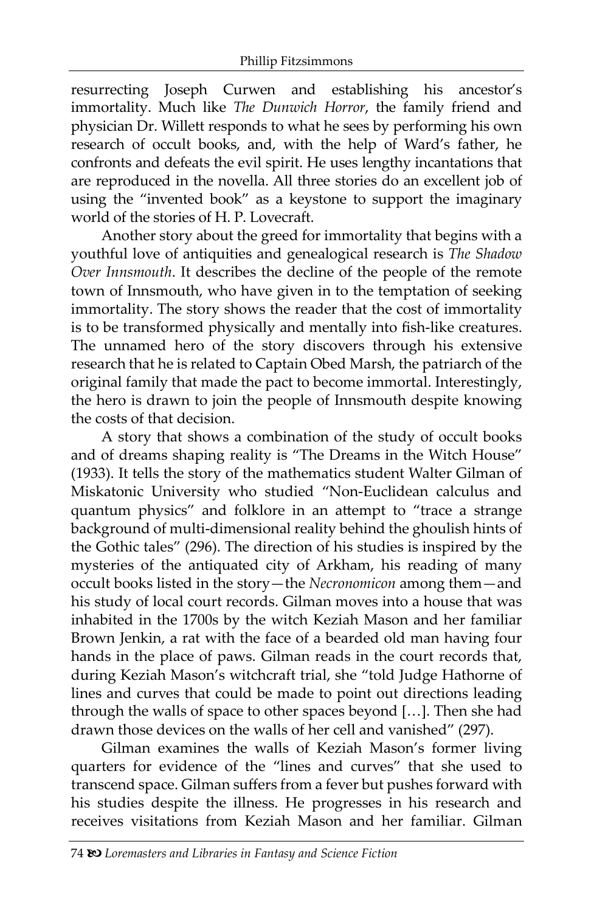resurrecting Joseph Curwen and establishing his ancestor's immortality. Much like *The Dunwich Horror*, the family friend and physician Dr. Willett responds to what he sees by performing his own research of occult books, and, with the help of Ward's father, he confronts and defeats the evil spirit. He uses lengthy incantations that are reproduced in the novella. All three stories do an excellent job of using the "invented book" as a keystone to support the imaginary world of the stories of H. P. Lovecraft.

Another story about the greed for immortality that begins with a youthful love of antiquities and genealogical research is *The Shadow Over Innsmouth*. It describes the decline of the people of the remote town of Innsmouth, who have given in to the temptation of seeking immortality. The story shows the reader that the cost of immortality is to be transformed physically and mentally into fish-like creatures. The unnamed hero of the story discovers through his extensive research that he is related to Captain Obed Marsh, the patriarch of the original family that made the pact to become immortal. Interestingly, the hero is drawn to join the people of Innsmouth despite knowing the costs of that decision.

A story that shows a combination of the study of occult books and of dreams shaping reality is "The Dreams in the Witch House" (1933). It tells the story of the mathematics student Walter Gilman of Miskatonic University who studied "Non-Euclidean calculus and quantum physics" and folklore in an attempt to "trace a strange background of multi-dimensional reality behind the ghoulish hints of the Gothic tales" (296). The direction of his studies is inspired by the mysteries of the antiquated city of Arkham, his reading of many occult books listed in the story—the *Necronomicon* among them—and his study of local court records. Gilman moves into a house that was inhabited in the 1700s by the witch Keziah Mason and her familiar Brown Jenkin, a rat with the face of a bearded old man having four hands in the place of paws. Gilman reads in the court records that, during Keziah Mason's witchcraft trial, she "told Judge Hathorne of lines and curves that could be made to point out directions leading through the walls of space to other spaces beyond […]. Then she had drawn those devices on the walls of her cell and vanished" (297).

Gilman examines the walls of Keziah Mason's former living quarters for evidence of the "lines and curves" that she used to transcend space. Gilman suffers from a fever but pushes forward with his studies despite the illness. He progresses in his research and receives visitations from Keziah Mason and her familiar. Gilman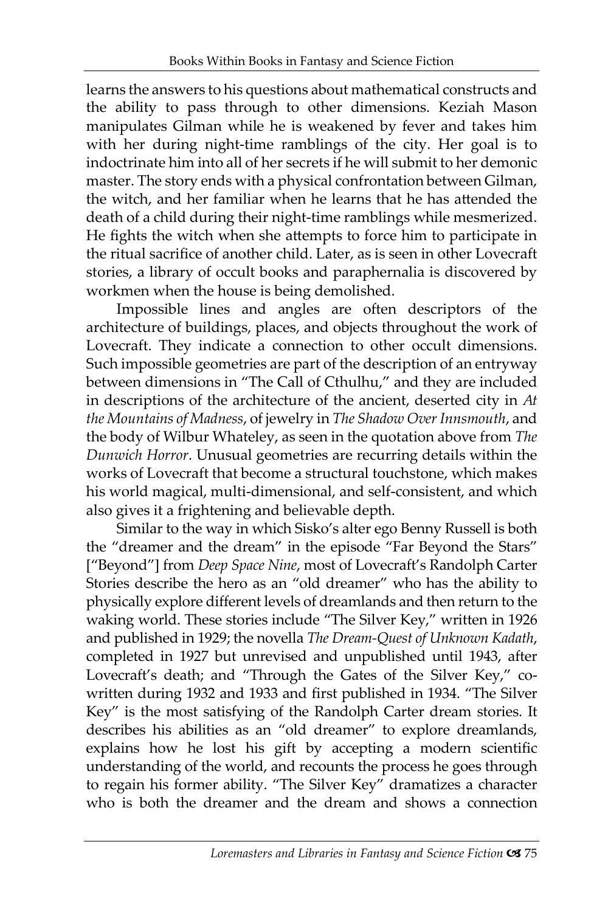learns the answers to his questions about mathematical constructs and the ability to pass through to other dimensions. Keziah Mason manipulates Gilman while he is weakened by fever and takes him with her during night-time ramblings of the city. Her goal is to indoctrinate him into all of her secrets if he will submit to her demonic master. The story ends with a physical confrontation between Gilman, the witch, and her familiar when he learns that he has attended the death of a child during their night-time ramblings while mesmerized. He fights the witch when she attempts to force him to participate in the ritual sacrifice of another child. Later, as is seen in other Lovecraft stories, a library of occult books and paraphernalia is discovered by workmen when the house is being demolished.

Impossible lines and angles are often descriptors of the architecture of buildings, places, and objects throughout the work of Lovecraft. They indicate a connection to other occult dimensions. Such impossible geometries are part of the description of an entryway between dimensions in "The Call of Cthulhu," and they are included in descriptions of the architecture of the ancient, deserted city in *At the Mountains of Madness*, of jewelry in *The Shadow Over Innsmouth*, and the body of Wilbur Whateley, as seen in the quotation above from *The Dunwich Horror*. Unusual geometries are recurring details within the works of Lovecraft that become a structural touchstone, which makes his world magical, multi-dimensional, and self-consistent, and which also gives it a frightening and believable depth.

Similar to the way in which Sisko's alter ego Benny Russell is both the "dreamer and the dream" in the episode "Far Beyond the Stars" ["Beyond"] from *Deep Space Nine*, most of Lovecraft's Randolph Carter Stories describe the hero as an "old dreamer" who has the ability to physically explore different levels of dreamlands and then return to the waking world. These stories include "The Silver Key," written in 1926 and published in 1929; the novella *The Dream-Quest of Unknown Kadath*, completed in 1927 but unrevised and unpublished until 1943, after Lovecraft's death; and "Through the Gates of the Silver Key," cowritten during 1932 and 1933 and first published in 1934. "The Silver Key" is the most satisfying of the Randolph Carter dream stories. It describes his abilities as an "old dreamer" to explore dreamlands, explains how he lost his gift by accepting a modern scientific understanding of the world, and recounts the process he goes through to regain his former ability. "The Silver Key" dramatizes a character who is both the dreamer and the dream and shows a connection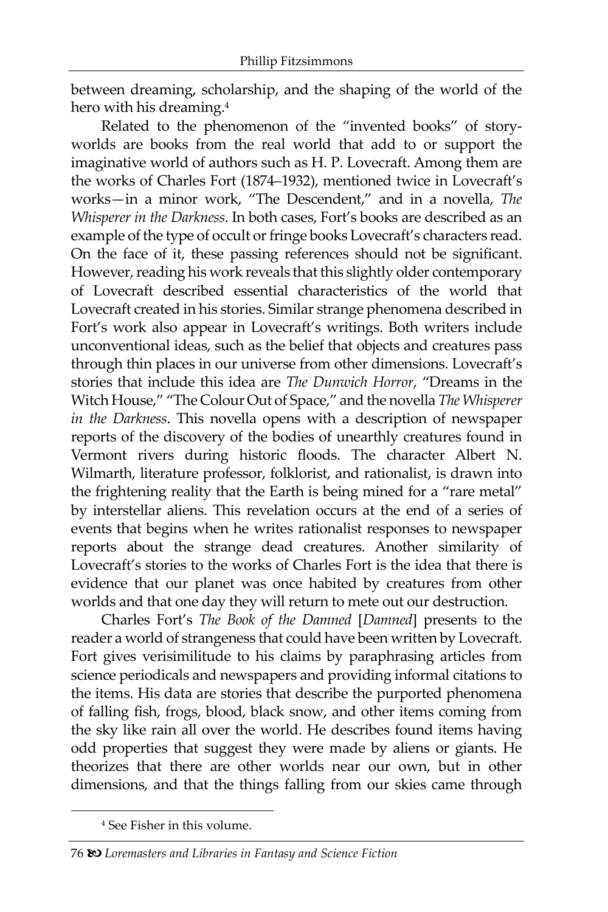between dreaming, scholarship, and the shaping of the world of the hero with his dreaming.4

Related to the phenomenon of the "invented books" of storyworlds are books from the real world that add to or support the imaginative world of authors such as H. P. Lovecraft. Among them are the works of Charles Fort (1874–1932), mentioned twice in Lovecraft's works—in a minor work, "The Descendent," and in a novella, *The Whisperer in the Darkness*. In both cases, Fort's books are described as an example of the type of occult or fringe books Lovecraft's characters read. On the face of it, these passing references should not be significant. However, reading his work reveals that this slightly older contemporary of Lovecraft described essential characteristics of the world that Lovecraft created in his stories. Similar strange phenomena described in Fort's work also appear in Lovecraft's writings. Both writers include unconventional ideas, such as the belief that objects and creatures pass through thin places in our universe from other dimensions. Lovecraft's stories that include this idea are *The Dunwich Horror*, "Dreams in the Witch House," "The Colour Out of Space," and the novella *The Whisperer in the Darkness*. This novella opens with a description of newspaper reports of the discovery of the bodies of unearthly creatures found in Vermont rivers during historic floods. The character Albert N. Wilmarth, literature professor, folklorist, and rationalist, is drawn into the frightening reality that the Earth is being mined for a "rare metal" by interstellar aliens. This revelation occurs at the end of a series of events that begins when he writes rationalist responses to newspaper reports about the strange dead creatures. Another similarity of Lovecraft's stories to the works of Charles Fort is the idea that there is evidence that our planet was once habited by creatures from other worlds and that one day they will return to mete out our destruction.

Charles Fort's *The Book of the Damned* [*Damned*] presents to the reader a world of strangeness that could have been written by Lovecraft. Fort gives verisimilitude to his claims by paraphrasing articles from science periodicals and newspapers and providing informal citations to the items. His data are stories that describe the purported phenomena of falling fish, frogs, blood, black snow, and other items coming from the sky like rain all over the world. He describes found items having odd properties that suggest they were made by aliens or giants. He theorizes that there are other worlds near our own, but in other dimensions, and that the things falling from our skies came through

<sup>4</sup> See Fisher in this volume.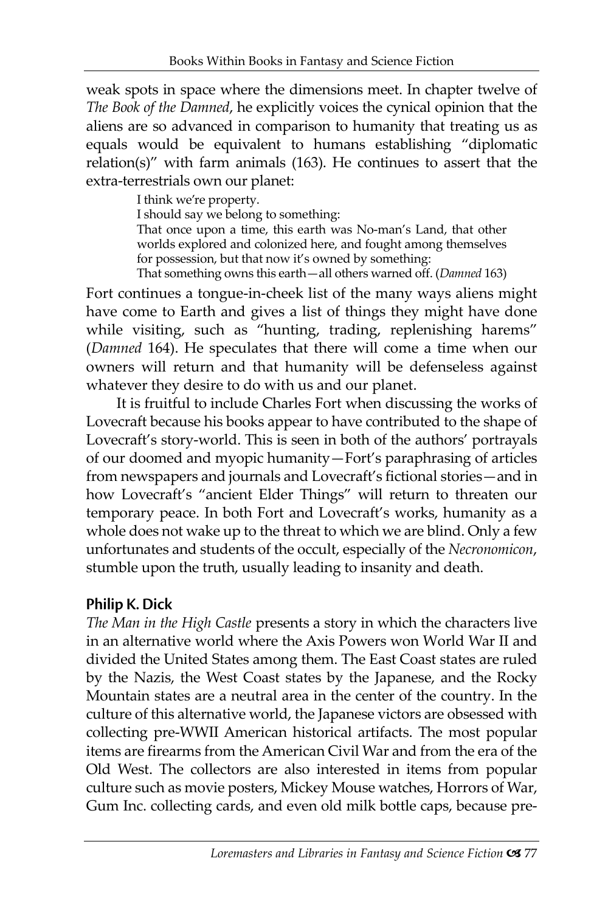weak spots in space where the dimensions meet. In chapter twelve of *The Book of the Damned*, he explicitly voices the cynical opinion that the aliens are so advanced in comparison to humanity that treating us as equals would be equivalent to humans establishing "diplomatic relation(s)" with farm animals (163). He continues to assert that the extra-terrestrials own our planet:

I think we're property. I should say we belong to something: That once upon a time, this earth was No-man's Land, that other worlds explored and colonized here, and fought among themselves for possession, but that now it's owned by something: That something owns this earth—all others warned off. (*Damned* 163)

Fort continues a tongue-in-cheek list of the many ways aliens might have come to Earth and gives a list of things they might have done while visiting, such as "hunting, trading, replenishing harems" (*Damned* 164). He speculates that there will come a time when our owners will return and that humanity will be defenseless against whatever they desire to do with us and our planet.

It is fruitful to include Charles Fort when discussing the works of Lovecraft because his books appear to have contributed to the shape of Lovecraft's story-world. This is seen in both of the authors' portrayals of our doomed and myopic humanity—Fort's paraphrasing of articles from newspapers and journals and Lovecraft's fictional stories—and in how Lovecraft's "ancient Elder Things" will return to threaten our temporary peace. In both Fort and Lovecraft's works, humanity as a whole does not wake up to the threat to which we are blind. Only a few unfortunates and students of the occult, especially of the *Necronomicon*, stumble upon the truth, usually leading to insanity and death.

# **Philip K. Dick**

*The Man in the High Castle* presents a story in which the characters live in an alternative world where the Axis Powers won World War II and divided the United States among them. The East Coast states are ruled by the Nazis, the West Coast states by the Japanese, and the Rocky Mountain states are a neutral area in the center of the country. In the culture of this alternative world, the Japanese victors are obsessed with collecting pre-WWII American historical artifacts. The most popular items are firearms from the American Civil War and from the era of the Old West. The collectors are also interested in items from popular culture such as movie posters, Mickey Mouse watches, Horrors of War, Gum Inc. collecting cards, and even old milk bottle caps, because pre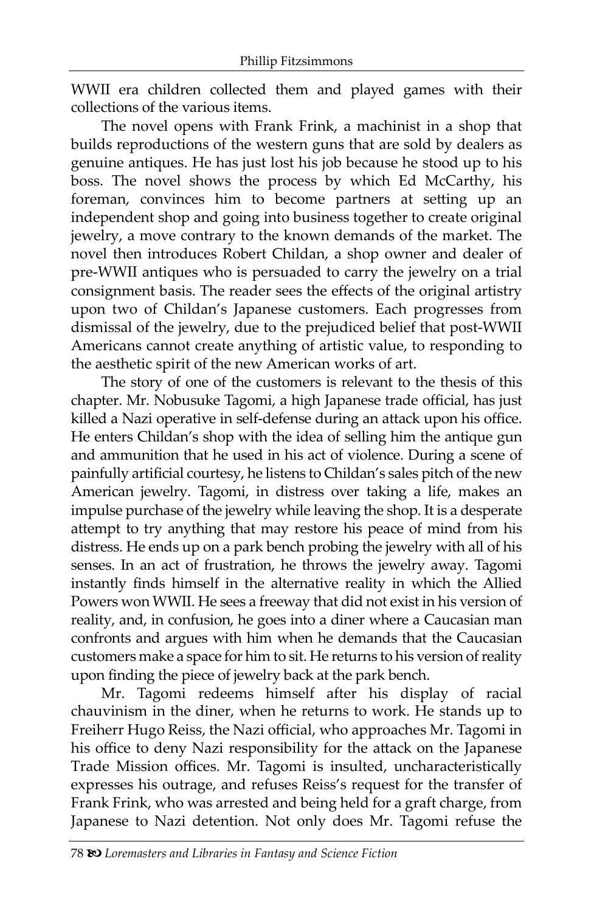WWII era children collected them and played games with their collections of the various items.

The novel opens with Frank Frink, a machinist in a shop that builds reproductions of the western guns that are sold by dealers as genuine antiques. He has just lost his job because he stood up to his boss. The novel shows the process by which Ed McCarthy, his foreman, convinces him to become partners at setting up an independent shop and going into business together to create original jewelry, a move contrary to the known demands of the market. The novel then introduces Robert Childan, a shop owner and dealer of pre-WWII antiques who is persuaded to carry the jewelry on a trial consignment basis. The reader sees the effects of the original artistry upon two of Childan's Japanese customers. Each progresses from dismissal of the jewelry, due to the prejudiced belief that post-WWII Americans cannot create anything of artistic value, to responding to the aesthetic spirit of the new American works of art.

The story of one of the customers is relevant to the thesis of this chapter. Mr. Nobusuke Tagomi, a high Japanese trade official, has just killed a Nazi operative in self-defense during an attack upon his office. He enters Childan's shop with the idea of selling him the antique gun and ammunition that he used in his act of violence. During a scene of painfully artificial courtesy, he listens to Childan's sales pitch of the new American jewelry. Tagomi, in distress over taking a life, makes an impulse purchase of the jewelry while leaving the shop. It is a desperate attempt to try anything that may restore his peace of mind from his distress. He ends up on a park bench probing the jewelry with all of his senses. In an act of frustration, he throws the jewelry away. Tagomi instantly finds himself in the alternative reality in which the Allied Powers won WWII. He sees a freeway that did not exist in his version of reality, and, in confusion, he goes into a diner where a Caucasian man confronts and argues with him when he demands that the Caucasian customers make a space for him to sit. He returns to his version of reality upon finding the piece of jewelry back at the park bench.

Mr. Tagomi redeems himself after his display of racial chauvinism in the diner, when he returns to work. He stands up to Freiherr Hugo Reiss, the Nazi official, who approaches Mr. Tagomi in his office to deny Nazi responsibility for the attack on the Japanese Trade Mission offices. Mr. Tagomi is insulted, uncharacteristically expresses his outrage, and refuses Reiss's request for the transfer of Frank Frink, who was arrested and being held for a graft charge, from Japanese to Nazi detention. Not only does Mr. Tagomi refuse the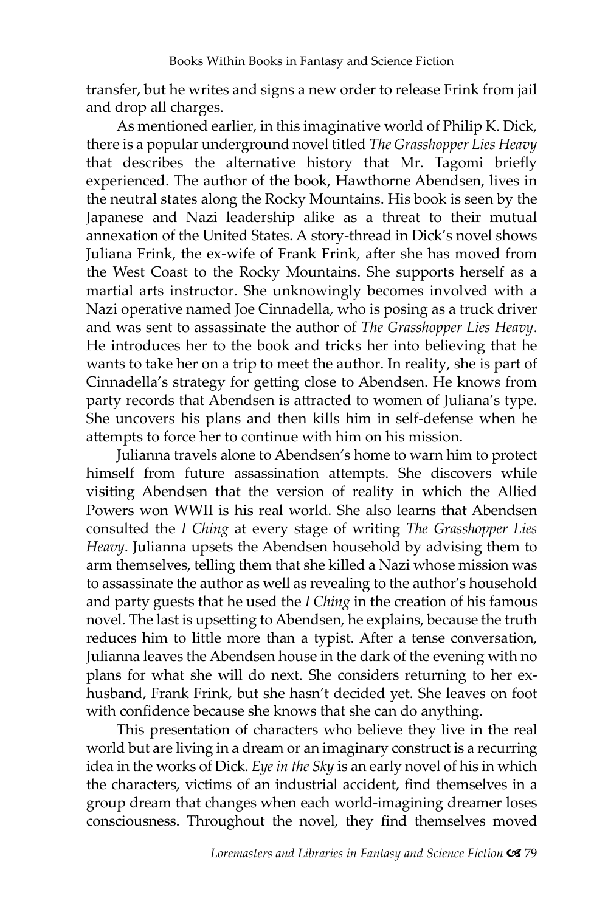transfer, but he writes and signs a new order to release Frink from jail and drop all charges.

As mentioned earlier, in this imaginative world of Philip K. Dick, there is a popular underground novel titled *The Grasshopper Lies Heavy* that describes the alternative history that Mr. Tagomi briefly experienced. The author of the book, Hawthorne Abendsen, lives in the neutral states along the Rocky Mountains. His book is seen by the Japanese and Nazi leadership alike as a threat to their mutual annexation of the United States. A story-thread in Dick's novel shows Juliana Frink, the ex-wife of Frank Frink, after she has moved from the West Coast to the Rocky Mountains. She supports herself as a martial arts instructor. She unknowingly becomes involved with a Nazi operative named Joe Cinnadella, who is posing as a truck driver and was sent to assassinate the author of *The Grasshopper Lies Heavy*. He introduces her to the book and tricks her into believing that he wants to take her on a trip to meet the author. In reality, she is part of Cinnadella's strategy for getting close to Abendsen. He knows from party records that Abendsen is attracted to women of Juliana's type. She uncovers his plans and then kills him in self-defense when he attempts to force her to continue with him on his mission.

Julianna travels alone to Abendsen's home to warn him to protect himself from future assassination attempts. She discovers while visiting Abendsen that the version of reality in which the Allied Powers won WWII is his real world. She also learns that Abendsen consulted the *I Ching* at every stage of writing *The Grasshopper Lies Heavy*. Julianna upsets the Abendsen household by advising them to arm themselves, telling them that she killed a Nazi whose mission was to assassinate the author as well as revealing to the author's household and party guests that he used the *I Ching* in the creation of his famous novel. The last is upsetting to Abendsen, he explains, because the truth reduces him to little more than a typist. After a tense conversation, Julianna leaves the Abendsen house in the dark of the evening with no plans for what she will do next. She considers returning to her exhusband, Frank Frink, but she hasn't decided yet. She leaves on foot with confidence because she knows that she can do anything.

This presentation of characters who believe they live in the real world but are living in a dream or an imaginary construct is a recurring idea in the works of Dick. *Eye in the Sky* is an early novel of his in which the characters, victims of an industrial accident, find themselves in a group dream that changes when each world-imagining dreamer loses consciousness. Throughout the novel, they find themselves moved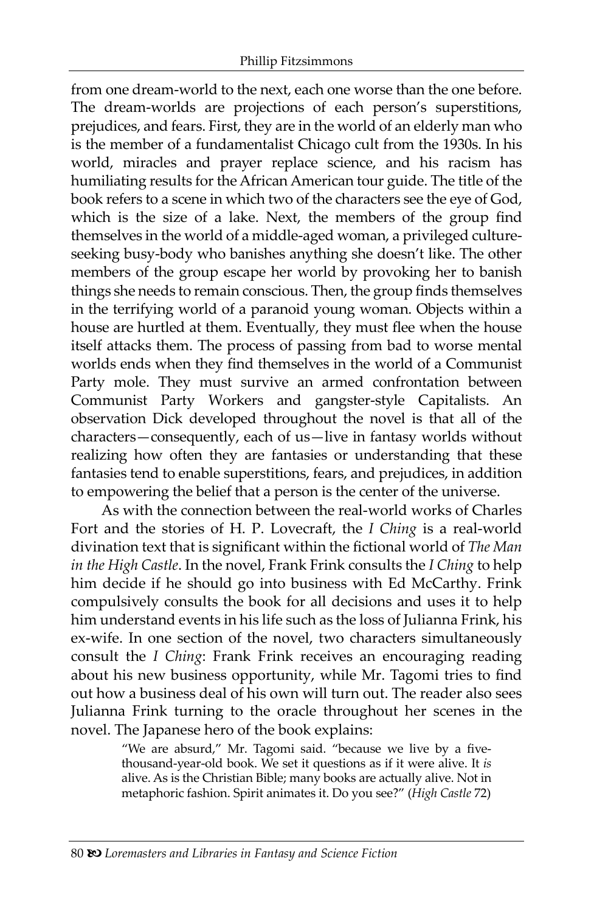from one dream-world to the next, each one worse than the one before. The dream-worlds are projections of each person's superstitions, prejudices, and fears. First, they are in the world of an elderly man who is the member of a fundamentalist Chicago cult from the 1930s. In his world, miracles and prayer replace science, and his racism has humiliating results for the African American tour guide. The title of the book refers to a scene in which two of the characters see the eye of God, which is the size of a lake. Next, the members of the group find themselves in the world of a middle-aged woman, a privileged cultureseeking busy-body who banishes anything she doesn't like. The other members of the group escape her world by provoking her to banish things she needs to remain conscious. Then, the group finds themselves in the terrifying world of a paranoid young woman. Objects within a house are hurtled at them. Eventually, they must flee when the house itself attacks them. The process of passing from bad to worse mental worlds ends when they find themselves in the world of a Communist Party mole. They must survive an armed confrontation between Communist Party Workers and gangster-style Capitalists. An observation Dick developed throughout the novel is that all of the characters—consequently, each of us—live in fantasy worlds without realizing how often they are fantasies or understanding that these fantasies tend to enable superstitions, fears, and prejudices, in addition to empowering the belief that a person is the center of the universe.

As with the connection between the real-world works of Charles Fort and the stories of H. P. Lovecraft, the *I Ching* is a real-world divination text that is significant within the fictional world of *The Man in the High Castle*. In the novel, Frank Frink consults the *I Ching* to help him decide if he should go into business with Ed McCarthy. Frink compulsively consults the book for all decisions and uses it to help him understand events in his life such as the loss of Julianna Frink, his ex-wife. In one section of the novel, two characters simultaneously consult the *I Ching*: Frank Frink receives an encouraging reading about his new business opportunity, while Mr. Tagomi tries to find out how a business deal of his own will turn out. The reader also sees Julianna Frink turning to the oracle throughout her scenes in the novel. The Japanese hero of the book explains:

> "We are absurd," Mr. Tagomi said. "because we live by a fivethousand-year-old book. We set it questions as if it were alive. It *is*  alive. As is the Christian Bible; many books are actually alive. Not in metaphoric fashion. Spirit animates it. Do you see?" (*High Castle* 72)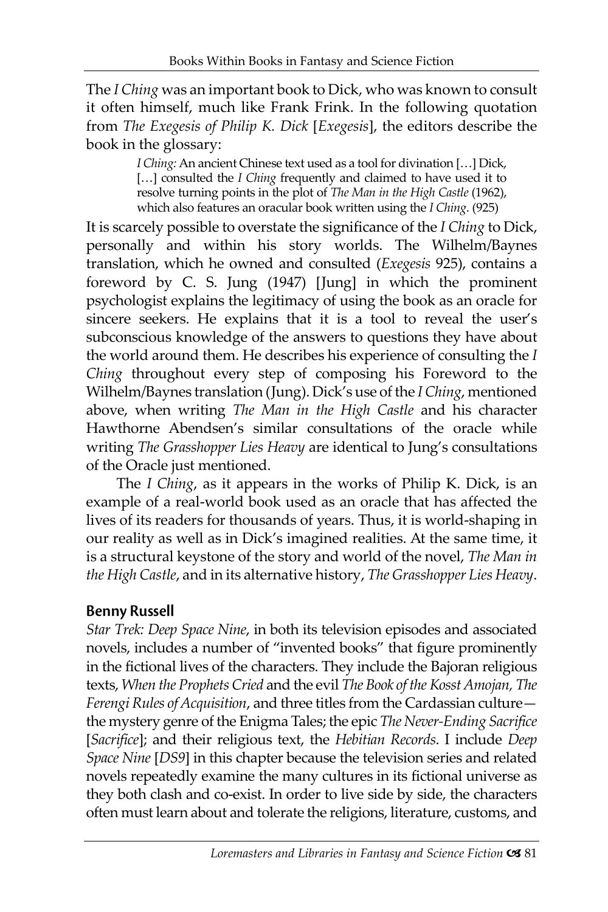The *I Ching* was an important book to Dick, who was known to consult it often himself, much like Frank Frink. In the following quotation from *The Exegesis of Philip K. Dick* [*Exegesis*], the editors describe the book in the glossary:

> *I Ching:* An ancient Chinese text used as a tool for divination […] Dick, [...] consulted the *I Ching* frequently and claimed to have used it to resolve turning points in the plot of *The Man in the High Castle* (1962), which also features an oracular book written using the *I Ching*. (925)

It is scarcely possible to overstate the significance of the *I Ching* to Dick, personally and within his story worlds. The Wilhelm/Baynes translation, which he owned and consulted (*Exegesis* 925), contains a foreword by C. S. Jung (1947) [Jung] in which the prominent psychologist explains the legitimacy of using the book as an oracle for sincere seekers. He explains that it is a tool to reveal the user's subconscious knowledge of the answers to questions they have about the world around them. He describes his experience of consulting the *I Ching* throughout every step of composing his Foreword to the Wilhelm/Baynes translation (Jung). Dick's use of the *I Ching*, mentioned above, when writing *The Man in the High Castle* and his character Hawthorne Abendsen's similar consultations of the oracle while writing *The Grasshopper Lies Heavy* are identical to Jung's consultations of the Oracle just mentioned.

The *I Ching*, as it appears in the works of Philip K. Dick, is an example of a real-world book used as an oracle that has affected the lives of its readers for thousands of years. Thus, it is world-shaping in our reality as well as in Dick's imagined realities. At the same time, it is a structural keystone of the story and world of the novel, *The Man in the High Castle*, and in its alternative history, *The Grasshopper Lies Heavy*.

### **Benny Russell**

*Star Trek: Deep Space Nine*, in both its television episodes and associated novels, includes a number of "invented books" that figure prominently in the fictional lives of the characters. They include the Bajoran religious texts, *When the Prophets Cried* and the evil *The Book of the Kosst Amojan, The Ferengi Rules of Acquisition*, and three titles from the Cardassian culture the mystery genre of the Enigma Tales; the epic *The Never-Ending Sacrifice* [*Sacrifice*]; and their religious text, the *Hebitian Records*. I include *Deep Space Nine* [*DS9*] in this chapter because the television series and related novels repeatedly examine the many cultures in its fictional universe as they both clash and co-exist. In order to live side by side, the characters often must learn about and tolerate the religions, literature, customs, and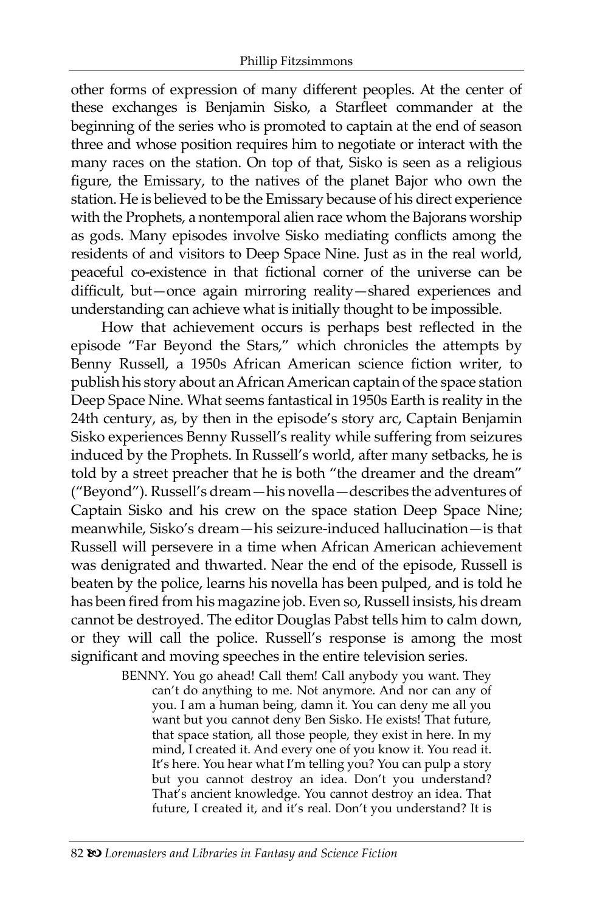other forms of expression of many different peoples. At the center of these exchanges is Benjamin Sisko, a Starfleet commander at the beginning of the series who is promoted to captain at the end of season three and whose position requires him to negotiate or interact with the many races on the station. On top of that, Sisko is seen as a religious figure, the Emissary, to the natives of the planet Bajor who own the station. He is believed to be the Emissary because of his direct experience with the Prophets, a nontemporal alien race whom the Bajorans worship as gods. Many episodes involve Sisko mediating conflicts among the residents of and visitors to Deep Space Nine. Just as in the real world, peaceful co-existence in that fictional corner of the universe can be difficult, but—once again mirroring reality—shared experiences and understanding can achieve what is initially thought to be impossible.

How that achievement occurs is perhaps best reflected in the episode "Far Beyond the Stars," which chronicles the attempts by Benny Russell, a 1950s African American science fiction writer, to publish his story about an African American captain of the space station Deep Space Nine. What seems fantastical in 1950s Earth is reality in the 24th century, as, by then in the episode's story arc, Captain Benjamin Sisko experiences Benny Russell's reality while suffering from seizures induced by the Prophets. In Russell's world, after many setbacks, he is told by a street preacher that he is both "the dreamer and the dream" ("Beyond"). Russell's dream—his novella—describes the adventures of Captain Sisko and his crew on the space station Deep Space Nine; meanwhile, Sisko's dream—his seizure-induced hallucination—is that Russell will persevere in a time when African American achievement was denigrated and thwarted. Near the end of the episode, Russell is beaten by the police, learns his novella has been pulped, and is told he has been fired from his magazine job. Even so, Russell insists, his dream cannot be destroyed. The editor Douglas Pabst tells him to calm down, or they will call the police. Russell's response is among the most significant and moving speeches in the entire television series.

> BENNY. You go ahead! Call them! Call anybody you want. They can't do anything to me. Not anymore. And nor can any of you. I am a human being, damn it. You can deny me all you want but you cannot deny Ben Sisko. He exists! That future, that space station, all those people, they exist in here. In my mind, I created it. And every one of you know it. You read it. It's here. You hear what I'm telling you? You can pulp a story but you cannot destroy an idea. Don't you understand? That's ancient knowledge. You cannot destroy an idea. That future, I created it, and it's real. Don't you understand? It is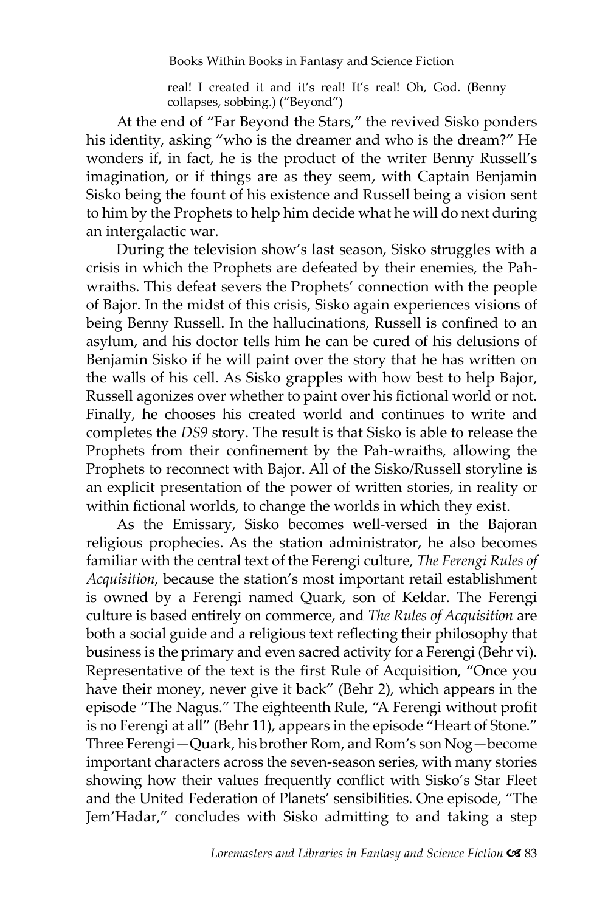real! I created it and it's real! It's real! Oh, God. (Benny collapses, sobbing.) ("Beyond")

At the end of "Far Beyond the Stars," the revived Sisko ponders his identity, asking "who is the dreamer and who is the dream?" He wonders if, in fact, he is the product of the writer Benny Russell's imagination, or if things are as they seem, with Captain Benjamin Sisko being the fount of his existence and Russell being a vision sent to him by the Prophets to help him decide what he will do next during an intergalactic war.

During the television show's last season, Sisko struggles with a crisis in which the Prophets are defeated by their enemies, the Pahwraiths. This defeat severs the Prophets' connection with the people of Bajor. In the midst of this crisis, Sisko again experiences visions of being Benny Russell. In the hallucinations, Russell is confined to an asylum, and his doctor tells him he can be cured of his delusions of Benjamin Sisko if he will paint over the story that he has written on the walls of his cell. As Sisko grapples with how best to help Bajor, Russell agonizes over whether to paint over his fictional world or not. Finally, he chooses his created world and continues to write and completes the *DS9* story. The result is that Sisko is able to release the Prophets from their confinement by the Pah-wraiths, allowing the Prophets to reconnect with Bajor. All of the Sisko/Russell storyline is an explicit presentation of the power of written stories, in reality or within fictional worlds, to change the worlds in which they exist.

As the Emissary, Sisko becomes well-versed in the Bajoran religious prophecies. As the station administrator, he also becomes familiar with the central text of the Ferengi culture, *The Ferengi Rules of Acquisition*, because the station's most important retail establishment is owned by a Ferengi named Quark, son of Keldar. The Ferengi culture is based entirely on commerce, and *The Rules of Acquisition* are both a social guide and a religious text reflecting their philosophy that business is the primary and even sacred activity for a Ferengi (Behr vi). Representative of the text is the first Rule of Acquisition, "Once you have their money, never give it back" (Behr 2), which appears in the episode "The Nagus." The eighteenth Rule, "A Ferengi without profit is no Ferengi at all" (Behr 11), appears in the episode "Heart of Stone." Three Ferengi—Quark, his brother Rom, and Rom's son Nog—become important characters across the seven-season series, with many stories showing how their values frequently conflict with Sisko's Star Fleet and the United Federation of Planets' sensibilities. One episode, "The Jem'Hadar," concludes with Sisko admitting to and taking a step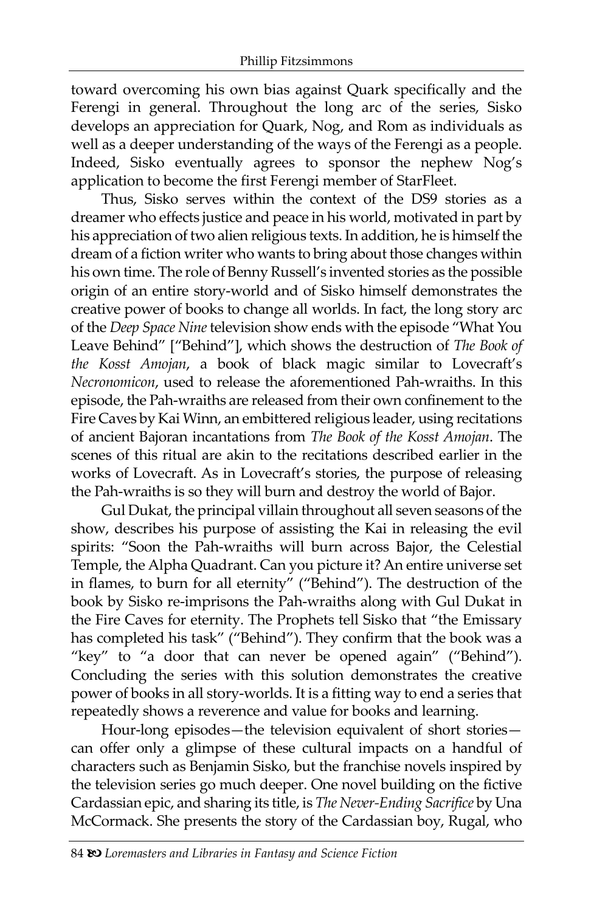toward overcoming his own bias against Quark specifically and the Ferengi in general. Throughout the long arc of the series, Sisko develops an appreciation for Quark, Nog, and Rom as individuals as well as a deeper understanding of the ways of the Ferengi as a people. Indeed, Sisko eventually agrees to sponsor the nephew Nog's application to become the first Ferengi member of StarFleet.

Thus, Sisko serves within the context of the DS9 stories as a dreamer who effects justice and peace in his world, motivated in part by his appreciation of two alien religious texts. In addition, he is himself the dream of a fiction writer who wants to bring about those changes within his own time. The role of Benny Russell's invented stories as the possible origin of an entire story-world and of Sisko himself demonstrates the creative power of books to change all worlds. In fact, the long story arc of the *Deep Space Nine*television show ends with the episode "What You Leave Behind" ["Behind"], which shows the destruction of *The Book of the Kosst Amojan*, a book of black magic similar to Lovecraft's *Necronomicon*, used to release the aforementioned Pah-wraiths. In this episode, the Pah-wraiths are released from their own confinement to the Fire Caves by Kai Winn, an embittered religious leader, using recitations of ancient Bajoran incantations from *The Book of the Kosst Amojan*. The scenes of this ritual are akin to the recitations described earlier in the works of Lovecraft. As in Lovecraft's stories, the purpose of releasing the Pah-wraiths is so they will burn and destroy the world of Bajor.

Gul Dukat, the principal villain throughout all seven seasons of the show, describes his purpose of assisting the Kai in releasing the evil spirits: "Soon the Pah-wraiths will burn across Bajor, the Celestial Temple, the Alpha Quadrant. Can you picture it? An entire universe set in flames, to burn for all eternity" ("Behind"). The destruction of the book by Sisko re-imprisons the Pah-wraiths along with Gul Dukat in the Fire Caves for eternity. The Prophets tell Sisko that "the Emissary has completed his task" ("Behind"). They confirm that the book was a "key" to "a door that can never be opened again" ("Behind"). Concluding the series with this solution demonstrates the creative power of books in all story-worlds. It is a fitting way to end a series that repeatedly shows a reverence and value for books and learning.

Hour-long episodes—the television equivalent of short stories can offer only a glimpse of these cultural impacts on a handful of characters such as Benjamin Sisko, but the franchise novels inspired by the television series go much deeper. One novel building on the fictive Cardassian epic, and sharing its title, is *The Never-Ending Sacrifice* by Una McCormack. She presents the story of the Cardassian boy, Rugal, who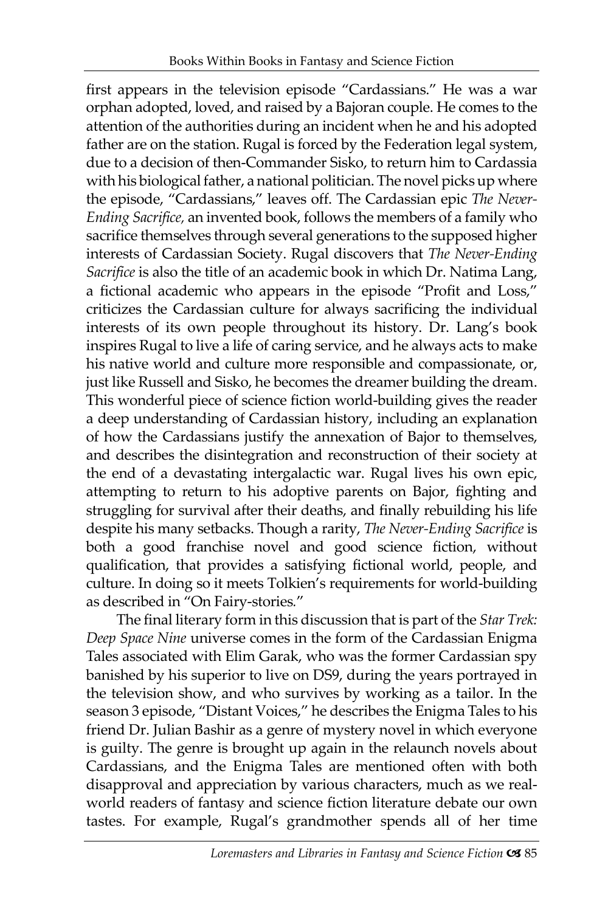first appears in the television episode "Cardassians." He was a war orphan adopted, loved, and raised by a Bajoran couple. He comes to the attention of the authorities during an incident when he and his adopted father are on the station. Rugal is forced by the Federation legal system, due to a decision of then-Commander Sisko, to return him to Cardassia with his biological father, a national politician. The novel picks up where the episode, "Cardassians," leaves off. The Cardassian epic *The Never-Ending Sacrifice,* an invented book, follows the members of a family who sacrifice themselves through several generations to the supposed higher interests of Cardassian Society. Rugal discovers that *The Never-Ending Sacrifice* is also the title of an academic book in which Dr. Natima Lang, a fictional academic who appears in the episode "Profit and Loss," criticizes the Cardassian culture for always sacrificing the individual interests of its own people throughout its history. Dr. Lang's book inspires Rugal to live a life of caring service, and he always acts to make his native world and culture more responsible and compassionate, or, just like Russell and Sisko, he becomes the dreamer building the dream. This wonderful piece of science fiction world-building gives the reader a deep understanding of Cardassian history, including an explanation of how the Cardassians justify the annexation of Bajor to themselves, and describes the disintegration and reconstruction of their society at the end of a devastating intergalactic war. Rugal lives his own epic, attempting to return to his adoptive parents on Bajor, fighting and struggling for survival after their deaths, and finally rebuilding his life despite his many setbacks. Though a rarity, *The Never-Ending Sacrifice* is both a good franchise novel and good science fiction, without qualification, that provides a satisfying fictional world, people, and culture. In doing so it meets Tolkien's requirements for world-building as described in "On Fairy-stories*.*"

The final literary form in this discussion that is part of the *Star Trek: Deep Space Nine* universe comes in the form of the Cardassian Enigma Tales associated with Elim Garak, who was the former Cardassian spy banished by his superior to live on DS9, during the years portrayed in the television show, and who survives by working as a tailor. In the season 3 episode, "Distant Voices," he describes the Enigma Tales to his friend Dr. Julian Bashir as a genre of mystery novel in which everyone is guilty. The genre is brought up again in the relaunch novels about Cardassians, and the Enigma Tales are mentioned often with both disapproval and appreciation by various characters, much as we realworld readers of fantasy and science fiction literature debate our own tastes. For example, Rugal's grandmother spends all of her time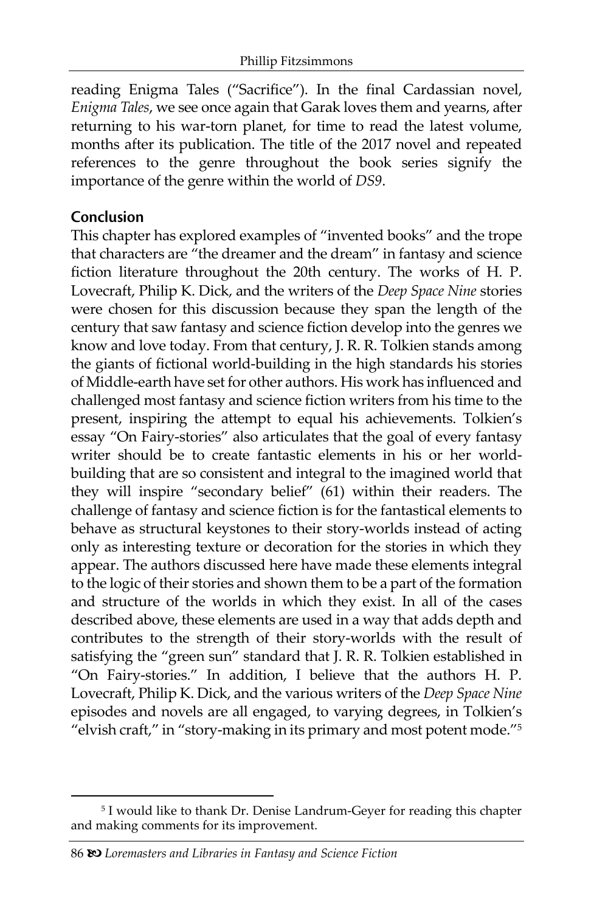reading Enigma Tales ("Sacrifice"). In the final Cardassian novel, *Enigma Tales*, we see once again that Garak loves them and yearns, after returning to his war-torn planet, for time to read the latest volume, months after its publication. The title of the 2017 novel and repeated references to the genre throughout the book series signify the importance of the genre within the world of *DS9*.

# **Conclusion**

This chapter has explored examples of "invented books" and the trope that characters are "the dreamer and the dream" in fantasy and science fiction literature throughout the 20th century. The works of H. P. Lovecraft, Philip K. Dick, and the writers of the *Deep Space Nine* stories were chosen for this discussion because they span the length of the century that saw fantasy and science fiction develop into the genres we know and love today. From that century, J. R. R. Tolkien stands among the giants of fictional world-building in the high standards his stories of Middle-earth have set for other authors. His work has influenced and challenged most fantasy and science fiction writers from his time to the present, inspiring the attempt to equal his achievements. Tolkien's essay "On Fairy-stories" also articulates that the goal of every fantasy writer should be to create fantastic elements in his or her worldbuilding that are so consistent and integral to the imagined world that they will inspire "secondary belief" (61) within their readers. The challenge of fantasy and science fiction is for the fantastical elements to behave as structural keystones to their story-worlds instead of acting only as interesting texture or decoration for the stories in which they appear. The authors discussed here have made these elements integral to the logic of their stories and shown them to be a part of the formation and structure of the worlds in which they exist. In all of the cases described above, these elements are used in a way that adds depth and contributes to the strength of their story-worlds with the result of satisfying the "green sun" standard that J. R. R. Tolkien established in "On Fairy-stories." In addition, I believe that the authors H. P. Lovecraft, Philip K. Dick, and the various writers of the *Deep Space Nine* episodes and novels are all engaged, to varying degrees, in Tolkien's "elvish craft," in "story-making in its primary and most potent mode."5

<sup>5</sup> I would like to thank Dr. Denise Landrum-Geyer for reading this chapter and making comments for its improvement.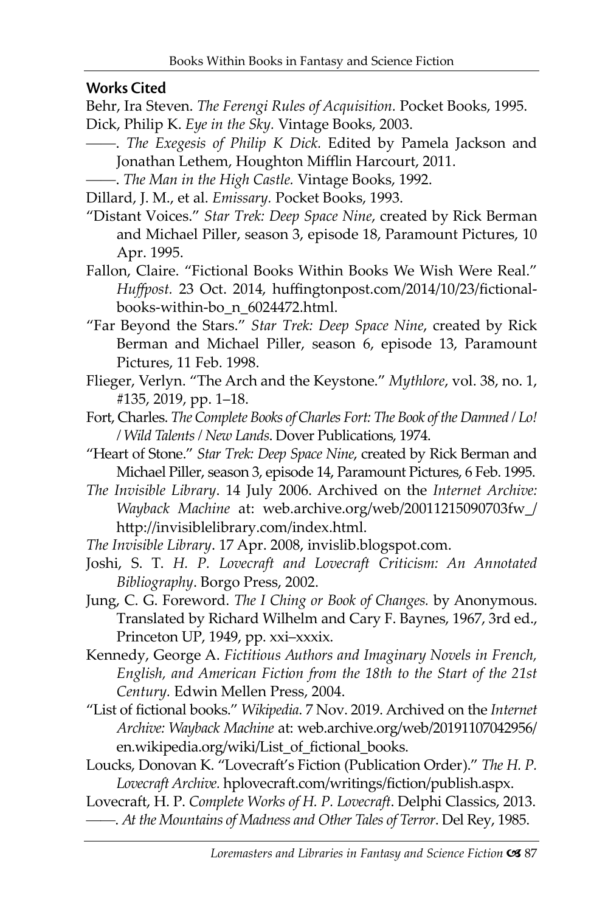## **Works Cited**

Behr, Ira Steven. *The Ferengi Rules of Acquisition.* Pocket Books, 1995.

- Dick, Philip K. *Eye in the Sky.* Vintage Books, 2003.
- ——. *The Exegesis of Philip K Dick.* Edited by Pamela Jackson and Jonathan Lethem, Houghton Mifflin Harcourt, 2011.

Dillard, J. M., et al. *Emissary.* Pocket Books, 1993.

- "Distant Voices." *Star Trek: Deep Space Nine*, created by Rick Berman and Michael Piller, season 3, episode 18, Paramount Pictures, 10 Apr. 1995.
- Fallon, Claire. "Fictional Books Within Books We Wish Were Real." *Huffpost.* 23 Oct. 2014, huffingtonpost.com/2014/10/23/fictionalbooks-within-bo\_n\_6024472.html.
- "Far Beyond the Stars." *Star Trek: Deep Space Nine*, created by Rick Berman and Michael Piller, season 6, episode 13, Paramount Pictures, 11 Feb. 1998.
- Flieger, Verlyn. "The Arch and the Keystone." *Mythlore*, vol. 38, no. 1, #135, 2019, pp. 1–18.
- Fort, Charles. *The Complete Books of Charles Fort: The Book of the Damned / Lo! / Wild Talents / New Lands*. Dover Publications, 1974.
- "Heart of Stone." *Star Trek: Deep Space Nine*, created by Rick Berman and Michael Piller, season 3, episode 14, Paramount Pictures, 6 Feb. 1995.

*The Invisible Library*. 14 July 2006. Archived on the *Internet Archive: Wayback Machine* at: web.archive.org/web/20011215090703fw\_/ http://invisiblelibrary.com/index.html.

*The Invisible Library*. 17 Apr. 2008, invislib.blogspot.com.

Joshi, S. T. *H. P. Lovecraft and Lovecraft Criticism: An Annotated Bibliography*. Borgo Press, 2002.

Jung, C. G. Foreword. *The I Ching or Book of Changes.* by Anonymous. Translated by Richard Wilhelm and Cary F. Baynes, 1967, 3rd ed., Princeton UP, 1949, pp. xxi–xxxix.

- Kennedy, George A. *Fictitious Authors and Imaginary Novels in French, English, and American Fiction from the 18th to the Start of the 21st Century.* Edwin Mellen Press, 2004.
- "List of fictional books." *Wikipedia*. 7 Nov. 2019. Archived on the *Internet Archive: Wayback Machine* at: web.archive.org/web/20191107042956/ en.wikipedia.org/wiki/List\_of\_fictional\_books.
- Loucks, Donovan K. "Lovecraft's Fiction (Publication Order)." *The H. P. Lovecraft Archive.* hplovecraft.com/writings/fiction/publish.aspx.
- Lovecraft, H. P. *Complete Works of H. P. Lovecraft*. Delphi Classics, 2013. ——. *At the Mountains of Madness and Other Tales of Terror*. Del Rey, 1985.

<sup>——</sup>. *The Man in the High Castle.* Vintage Books, 1992.